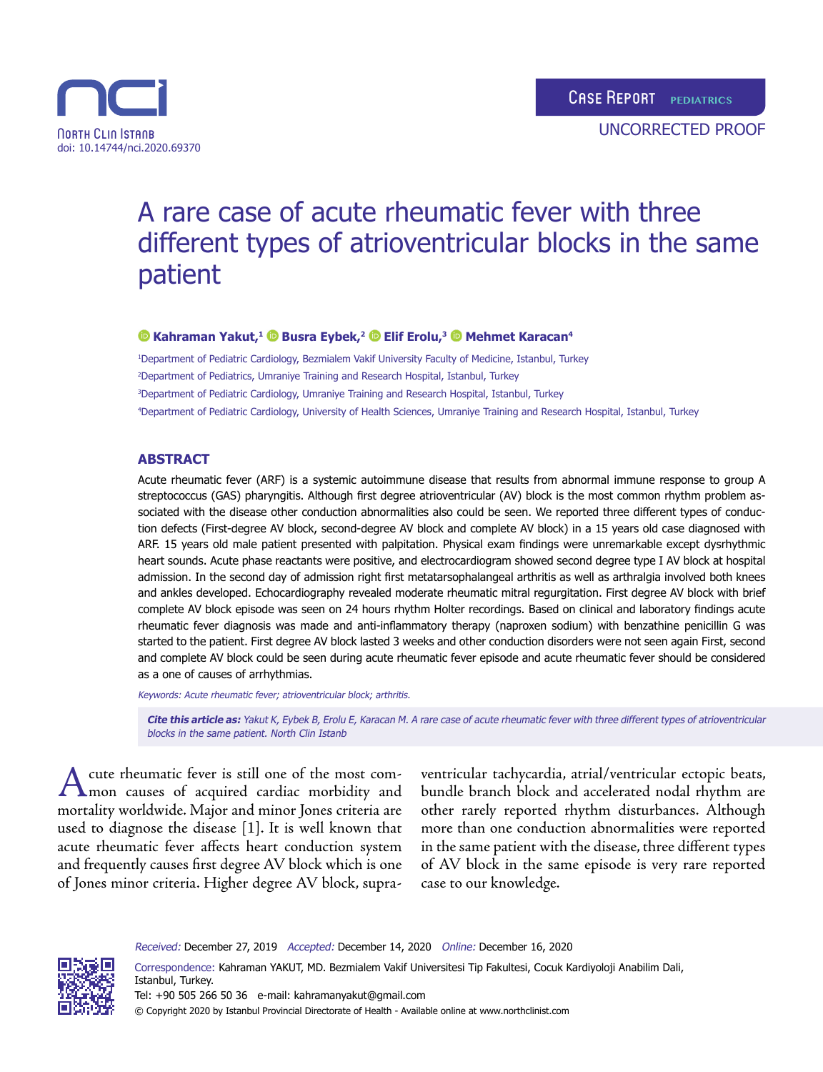



#### **Kahraman Yakut,1Busra Eybek,2Elif Erolu,3Mehmet Karacan4**

 Department of Pediatric Cardiology, Bezmialem Vakif University Faculty of Medicine, Istanbul, Turkey Department of Pediatrics, Umraniye Training and Research Hospital, Istanbul, Turkey Department of Pediatric Cardiology, Umraniye Training and Research Hospital, Istanbul, Turkey Department of Pediatric Cardiology, University of Health Sciences, Umraniye Training and Research Hospital, Istanbul, Turkey

### **ABSTRACT**

Acute rheumatic fever (ARF) is a systemic autoimmune disease that results from abnormal immune response to group A streptococcus (GAS) pharyngitis. Although first degree atrioventricular (AV) block is the most common rhythm problem associated with the disease other conduction abnormalities also could be seen. We reported three different types of conduction defects (First-degree AV block, second-degree AV block and complete AV block) in a 15 years old case diagnosed with ARF. 15 years old male patient presented with palpitation. Physical exam findings were unremarkable except dysrhythmic heart sounds. Acute phase reactants were positive, and electrocardiogram showed second degree type I AV block at hospital admission. In the second day of admission right first metatarsophalangeal arthritis as well as arthralgia involved both knees and ankles developed. Echocardiography revealed moderate rheumatic mitral regurgitation. First degree AV block with brief complete AV block episode was seen on 24 hours rhythm Holter recordings. Based on clinical and laboratory findings acute rheumatic fever diagnosis was made and anti-inflammatory therapy (naproxen sodium) with benzathine penicillin G was started to the patient. First degree AV block lasted 3 weeks and other conduction disorders were not seen again First, second and complete AV block could be seen during acute rheumatic fever episode and acute rheumatic fever should be considered as a one of causes of arrhythmias.

Keywords: Acute rheumatic fever; atrioventricular block; arthritis.

**Cite this article as:** Yakut K, Eybek B, Erolu E, Karacan M. A rare case of acute rheumatic fever with three different types of atrioventricular blocks in the same patient. North Clin Istanb

A cute rheumatic fever is still one of the most com-<br>mon causes of acquired cardiac morbidity and mortality worldwide. Major and minor Jones criteria are used to diagnose the disease [1]. It is well known that acute rheumatic fever affects heart conduction system and frequently causes first degree AV block which is one of Jones minor criteria. Higher degree AV block, supra-

ventricular tachycardia, atrial/ventricular ectopic beats, bundle branch block and accelerated nodal rhythm are other rarely reported rhythm disturbances. Although more than one conduction abnormalities were reported in the same patient with the disease, three different types of AV block in the same episode is very rare reported case to our knowledge.

Received: December 27, 2019 Accepted: December 14, 2020 Online: December 16, 2020

Correspondence: Kahraman YAKUT, MD. Bezmialem Vakif Universitesi Tip Fakultesi, Cocuk Kardiyoloji Anabilim Dali, Istanbul, Turkey. Tel: +90 505 266 50 36 e-mail: kahramanyakut@gmail.com © Copyright 2020 by Istanbul Provincial Directorate of Health - Available online at www.northclinist.com



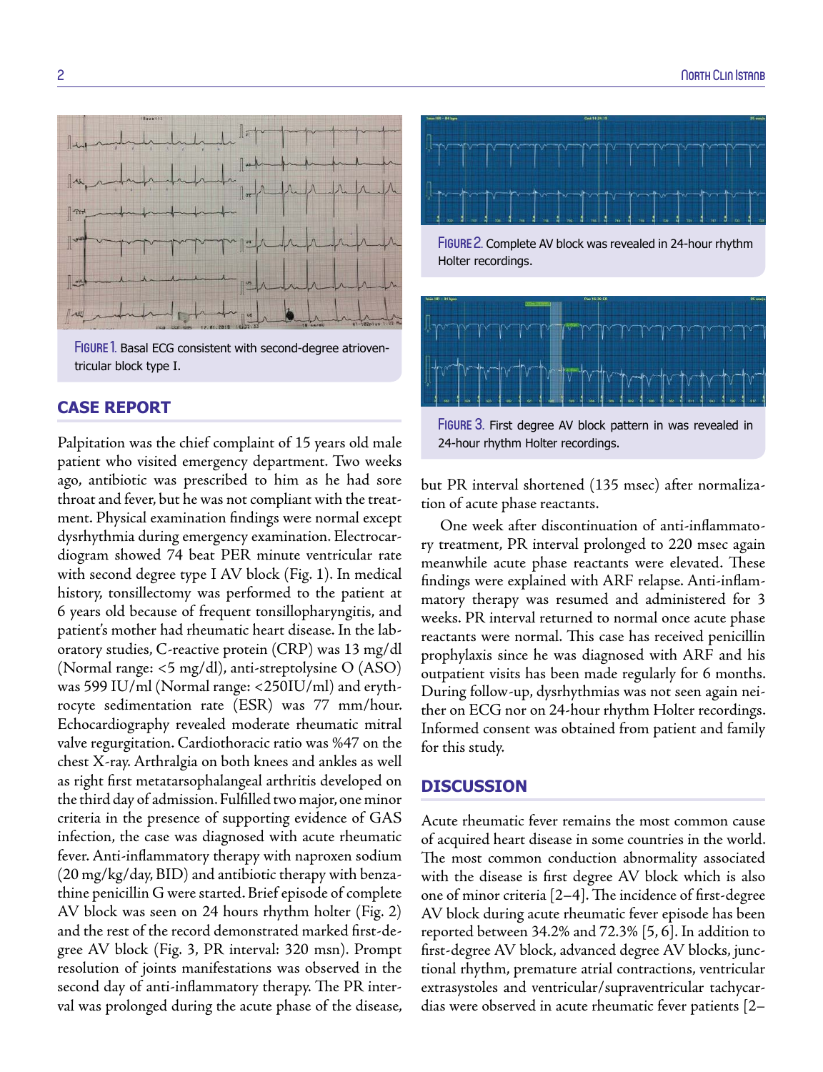

FIGURE 1. Basal ECG consistent with second-degree atrioventricular block type I.

# **CASE REPORT**

Palpitation was the chief complaint of 15 years old male patient who visited emergency department. Two weeks ago, antibiotic was prescribed to him as he had sore throat and fever, but he was not compliant with the treatment. Physical examination findings were normal except dysrhythmia during emergency examination. Electrocardiogram showed 74 beat PER minute ventricular rate with second degree type I AV block (Fig. 1). In medical history, tonsillectomy was performed to the patient at 6 years old because of frequent tonsillopharyngitis, and patient's mother had rheumatic heart disease. In the laboratory studies, C-reactive protein (CRP) was 13 mg/dl (Normal range: <5 mg/dl), anti-streptolysine O (ASO) was 599 IU/ml (Normal range: <250IU/ml) and erythrocyte sedimentation rate (ESR) was 77 mm/hour. Echocardiography revealed moderate rheumatic mitral valve regurgitation. Cardiothoracic ratio was %47 on the chest X-ray. Arthralgia on both knees and ankles as well as right first metatarsophalangeal arthritis developed on the third day of admission. Fulfilled two major, one minor criteria in the presence of supporting evidence of GAS infection, the case was diagnosed with acute rheumatic fever. Anti-inflammatory therapy with naproxen sodium (20 mg/kg/day, BID) and antibiotic therapy with benzathine penicillin G were started. Brief episode of complete AV block was seen on 24 hours rhythm holter (Fig. 2) and the rest of the record demonstrated marked first-degree AV block (Fig. 3, PR interval: 320 msn). Prompt resolution of joints manifestations was observed in the second day of anti-inflammatory therapy. The PR interval was prolonged during the acute phase of the disease,



FIGURE 2. Complete AV block was revealed in 24-hour rhythm Holter recordings.



FIGURE 3. First degree AV block pattern in was revealed in 24-hour rhythm Holter recordings.

but PR interval shortened (135 msec) after normalization of acute phase reactants.

One week after discontinuation of anti-inflammatory treatment, PR interval prolonged to 220 msec again meanwhile acute phase reactants were elevated. These findings were explained with ARF relapse. Anti-inflammatory therapy was resumed and administered for 3 weeks. PR interval returned to normal once acute phase reactants were normal. This case has received penicillin prophylaxis since he was diagnosed with ARF and his outpatient visits has been made regularly for 6 months. During follow-up, dysrhythmias was not seen again neither on ECG nor on 24-hour rhythm Holter recordings. Informed consent was obtained from patient and family for this study.

## **DISCUSSION**

Acute rheumatic fever remains the most common cause of acquired heart disease in some countries in the world. The most common conduction abnormality associated with the disease is first degree AV block which is also one of minor criteria [2–4]. The incidence of first-degree AV block during acute rheumatic fever episode has been reported between 34.2% and 72.3% [5, 6]. In addition to first-degree AV block, advanced degree AV blocks, junctional rhythm, premature atrial contractions, ventricular extrasystoles and ventricular/supraventricular tachycardias were observed in acute rheumatic fever patients [2–